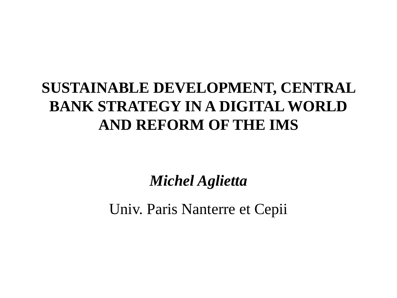# **SUSTAINABLE DEVELOPMENT, CENTRAL BANK STRATEGY IN A DIGITAL WORLD AND REFORM OF THE IMS**

*Michel Aglietta*

Univ. Paris Nanterre et Cepii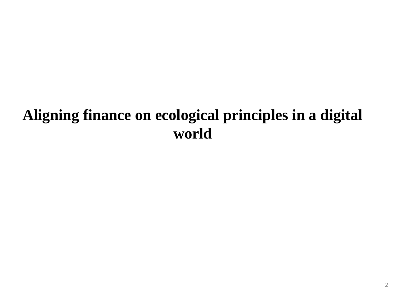## **Aligning finance on ecological principles in a digital world**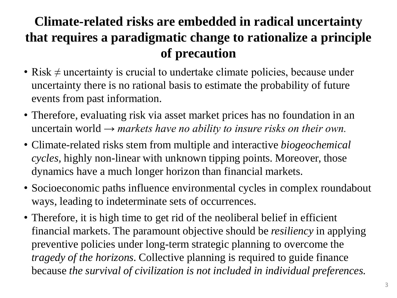#### **Climate-related risks are embedded in radical uncertainty that requires a paradigmatic change to rationalize a principle of precaution**

- Risk  $\neq$  uncertainty is crucial to undertake climate policies, because under uncertainty there is no rational basis to estimate the probability of future events from past information.
- Therefore, evaluating risk via asset market prices has no foundation in an uncertain world  $\rightarrow$  markets have no ability to insure risks on their own.
- Climate-related risks stem from multiple and interactive *biogeochemical cycles,* highly non-linear with unknown tipping points. Moreover, those dynamics have a much longer horizon than financial markets.
- Socioeconomic paths influence environmental cycles in complex roundabout ways, leading to indeterminate sets of occurrences.
- Therefore, it is high time to get rid of the neoliberal belief in efficient financial markets. The paramount objective should be *resiliency* in applying preventive policies under long-term strategic planning to overcome the *tragedy of the horizons*. Collective planning is required to guide finance because *the survival of civilization is not included in individual preferences.*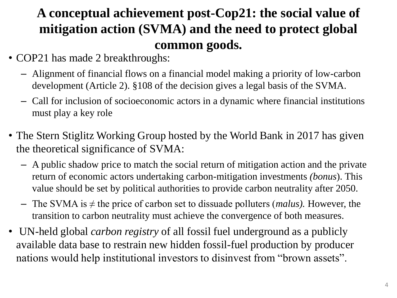#### **A conceptual achievement post-Cop21: the social value of mitigation action (SVMA) and the need to protect global common goods.**

- COP21 has made 2 breakthroughs:
	- Alignment of financial flows on a financial model making a priority of low-carbon development (Article 2). §108 of the decision gives a legal basis of the SVMA.
	- Call for inclusion of socioeconomic actors in a dynamic where financial institutions must play a key role
- The Stern Stiglitz Working Group hosted by the World Bank in 2017 has given the theoretical significance of SVMA:
	- A public shadow price to match the social return of mitigation action and the private return of economic actors undertaking carbon-mitigation investments *(bonus*). This value should be set by political authorities to provide carbon neutrality after 2050.
	- The SVMA is ≠ the price of carbon set to dissuade polluters (*malus).* However, the transition to carbon neutrality must achieve the convergence of both measures.
- UN-held global *carbon registry* of all fossil fuel underground as a publicly available data base to restrain new hidden fossil-fuel production by producer nations would help institutional investors to disinvest from "brown assets".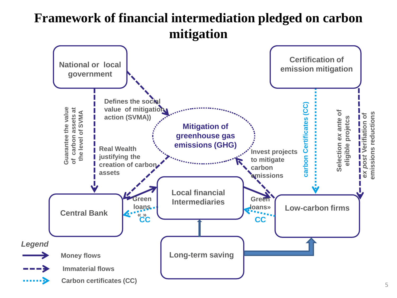#### **Framework of financial intermediation pledged on carbon mitigation**

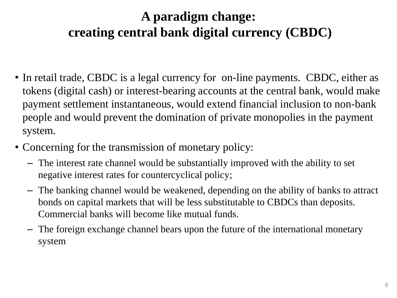#### **A paradigm change: creating central bank digital currency (CBDC)**

- In retail trade, CBDC is a legal currency for on-line payments. CBDC, either as tokens (digital cash) or interest-bearing accounts at the central bank, would make payment settlement instantaneous, would extend financial inclusion to non-bank people and would prevent the domination of private monopolies in the payment system.
- Concerning for the transmission of monetary policy:
	- The interest rate channel would be substantially improved with the ability to set negative interest rates for countercyclical policy;
	- The banking channel would be weakened, depending on the ability of banks to attract bonds on capital markets that will be less substitutable to CBDCs than deposits. Commercial banks will become like mutual funds.
	- The foreign exchange channel bears upon the future of the international monetary system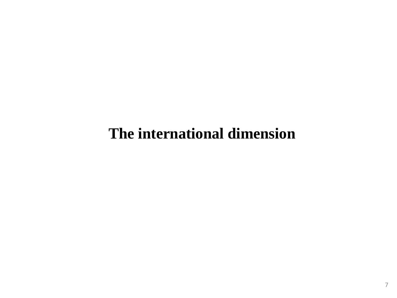### **The international dimension**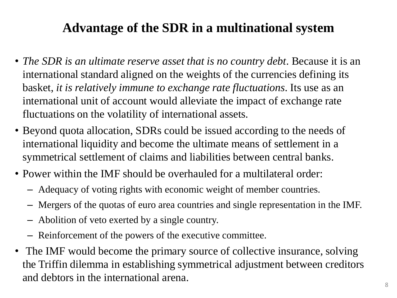#### **Advantage of the SDR in a multinational system**

- *The SDR is an ultimate reserve asset that is no country debt.* Because it is an international standard aligned on the weights of the currencies defining its basket, *it is relatively immune to exchange rate fluctuations*. Its use as an international unit of account would alleviate the impact of exchange rate fluctuations on the volatility of international assets.
- Beyond quota allocation, SDRs could be issued according to the needs of international liquidity and become the ultimate means of settlement in a symmetrical settlement of claims and liabilities between central banks.
- Power within the IMF should be overhauled for a multilateral order:
	- Adequacy of voting rights with economic weight of member countries.
	- Mergers of the quotas of euro area countries and single representation in the IMF.
	- Abolition of veto exerted by a single country.
	- Reinforcement of the powers of the executive committee.
- The IMF would become the primary source of collective insurance, solving the Triffin dilemma in establishing symmetrical adjustment between creditors and debtors in the international arena.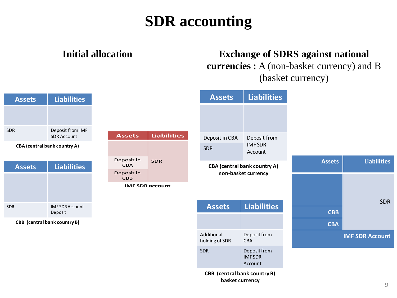# **SDR accounting**

#### **Initial allocation Exchange of SDRS against national currencies :** A (non-basket currency) and B (basket currency)

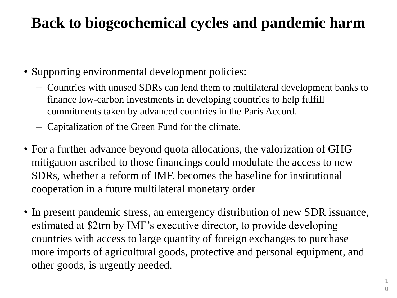# **Back to biogeochemical cycles and pandemic harm**

- Supporting environmental development policies:
	- Countries with unused SDRs can lend them to multilateral development banks to finance low-carbon investments in developing countries to help fulfill commitments taken by advanced countries in the Paris Accord.
	- Capitalization of the Green Fund for the climate.
- For a further advance beyond quota allocations, the valorization of GHG mitigation ascribed to those financings could modulate the access to new SDRs, whether a reform of IMF. becomes the baseline for institutional cooperation in a future multilateral monetary order
- In present pandemic stress, an emergency distribution of new SDR issuance, estimated at \$2trn by IMF's executive director, to provide developing countries with access to large quantity of foreign exchanges to purchase more imports of agricultural goods, protective and personal equipment, and other goods, is urgently needed.